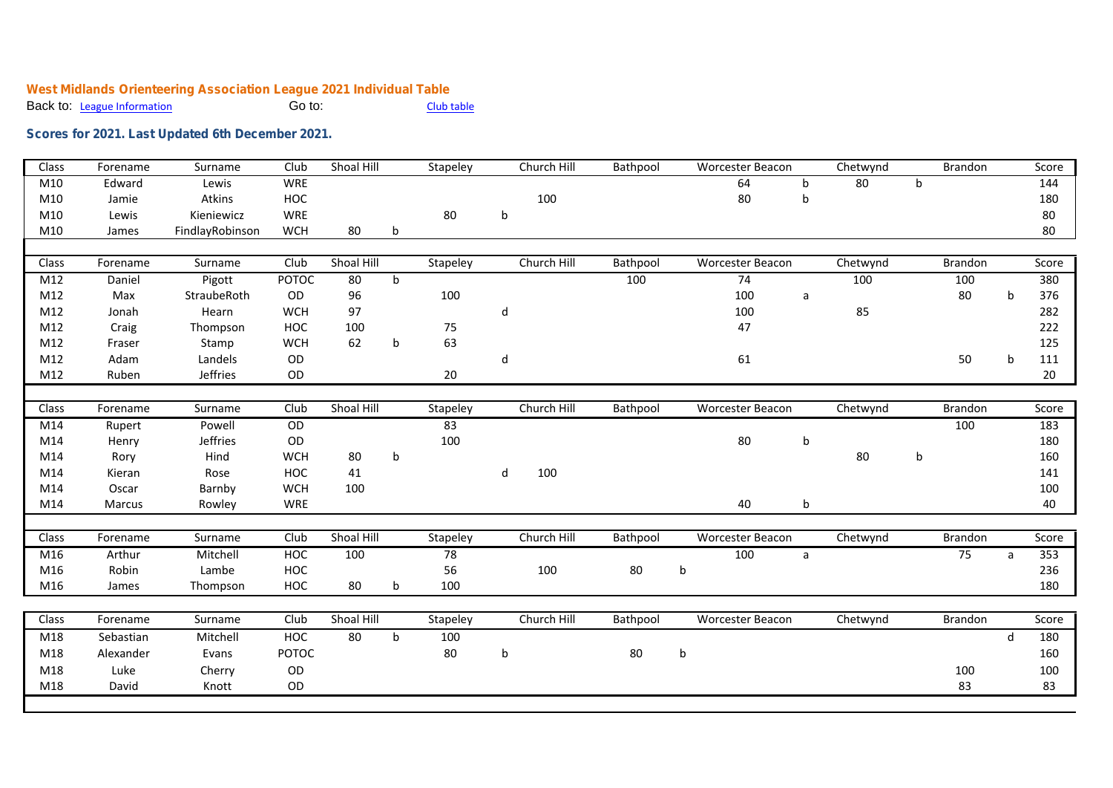## **West Midlands Orienteering Association League 2021 Individual Table** Back to: League Information

## **Scores for 2021. Last Updated 6th December 2021.**

| Class | Forename  | Surname         | Club         | Shoal Hill |             | Stapeley        | Church Hill | Bathpool |         | <b>Worcester Beacon</b> |   | Chetwynd |             | Brandon |              | Score |
|-------|-----------|-----------------|--------------|------------|-------------|-----------------|-------------|----------|---------|-------------------------|---|----------|-------------|---------|--------------|-------|
| M10   | Edward    | Lewis           | <b>WRE</b>   |            |             |                 |             |          |         | 64                      | b | 80       | $\mathsf b$ |         |              | 144   |
| M10   | Jamie     | Atkins          | HOC          |            |             |                 | 100         |          |         | 80                      | b |          |             |         |              | 180   |
| M10   | Lewis     | Kieniewicz      | WRE          |            |             | 80              | $\mathsf b$ |          |         |                         |   |          |             |         |              | 80    |
| M10   | James     | FindlayRobinson | <b>WCH</b>   | 80         | b           |                 |             |          |         |                         |   |          |             |         |              | 80    |
|       |           |                 |              |            |             |                 |             |          |         |                         |   |          |             |         |              |       |
| Class | Forename  | Surname         | Club         | Shoal Hill |             | Stapeley        | Church Hill | Bathpool |         | <b>Worcester Beacon</b> |   | Chetwynd |             | Brandon |              | Score |
| M12   | Daniel    | Pigott          | <b>POTOC</b> | 80         | $\mathbf b$ |                 |             | 100      |         | 74                      |   | 100      |             | 100     |              | 380   |
| M12   | Max       | StraubeRoth     | OD           | 96         |             | 100             |             |          |         | 100                     | a |          |             | 80      | b            | 376   |
| M12   | Jonah     | Hearn           | <b>WCH</b>   | 97         |             |                 | d           |          |         | 100                     |   | 85       |             |         |              | 282   |
| M12   | Craig     | Thompson        | HOC          | 100        |             | 75              |             |          |         | 47                      |   |          |             |         |              | 222   |
| M12   | Fraser    | Stamp           | <b>WCH</b>   | 62         | $\mathsf b$ | 63              |             |          |         |                         |   |          |             |         |              | 125   |
| M12   | Adam      | Landels         | OD           |            |             |                 | d           |          |         | 61                      |   |          |             | 50      | b            | 111   |
| M12   | Ruben     | Jeffries        | OD           |            |             | 20              |             |          |         |                         |   |          |             |         |              | 20    |
|       |           |                 |              |            |             |                 |             |          |         |                         |   |          |             |         |              |       |
| Class | Forename  | Surname         | Club         | Shoal Hill |             | Stapeley        | Church Hill | Bathpool |         | <b>Worcester Beacon</b> |   | Chetwynd |             | Brandon |              | Score |
| M14   | Rupert    | Powell          | OD           |            |             | 83              |             |          |         |                         |   |          |             | 100     |              | 183   |
| M14   | Henry     | <b>Jeffries</b> | OD           |            |             | 100             |             |          |         | 80                      | b |          |             |         |              | 180   |
| M14   | Rory      | Hind            | <b>WCH</b>   | 80         | $\sf b$     |                 |             |          |         |                         |   | 80       | b           |         |              | 160   |
| M14   | Kieran    | Rose            | <b>HOC</b>   | 41         |             |                 | d<br>100    |          |         |                         |   |          |             |         |              | 141   |
| M14   | Oscar     | Barnby          | <b>WCH</b>   | 100        |             |                 |             |          |         |                         |   |          |             |         |              | 100   |
| M14   | Marcus    | Rowley          | <b>WRE</b>   |            |             |                 |             |          |         | 40                      | b |          |             |         |              | 40    |
|       |           |                 |              |            |             |                 |             |          |         |                         |   |          |             |         |              |       |
| Class | Forename  | Surname         | Club         | Shoal Hill |             | Stapeley        | Church Hill | Bathpool |         | <b>Worcester Beacon</b> |   | Chetwynd |             | Brandon |              | Score |
| M16   | Arthur    | Mitchell        | HOC          | 100        |             | $\overline{78}$ |             |          |         | 100                     | a |          |             | 75      | $\mathsf{a}$ | 353   |
| M16   | Robin     | Lambe           | HOC          |            |             | 56              | 100         | 80       | $\sf b$ |                         |   |          |             |         |              | 236   |
| M16   | James     | Thompson        | HOC          | 80         | b           | 100             |             |          |         |                         |   |          |             |         |              | 180   |
|       |           |                 |              |            |             |                 |             |          |         |                         |   |          |             |         |              |       |
| Class | Forename  | Surname         | Club         | Shoal Hill |             | Stapeley        | Church Hill | Bathpool |         | <b>Worcester Beacon</b> |   | Chetwynd |             | Brandon |              | Score |
| M18   | Sebastian | Mitchell        | HOC          | 80         | b           | 100             |             |          |         |                         |   |          |             |         | d            | 180   |
| M18   | Alexander | Evans           | POTOC        |            |             | 80              | b           | 80       | b       |                         |   |          |             |         |              | 160   |
| M18   | Luke      | Cherry          | OD           |            |             |                 |             |          |         |                         |   |          |             | 100     |              | 100   |
| M18   | David     | Knott           | OD           |            |             |                 |             |          |         |                         |   |          |             | 83      |              | 83    |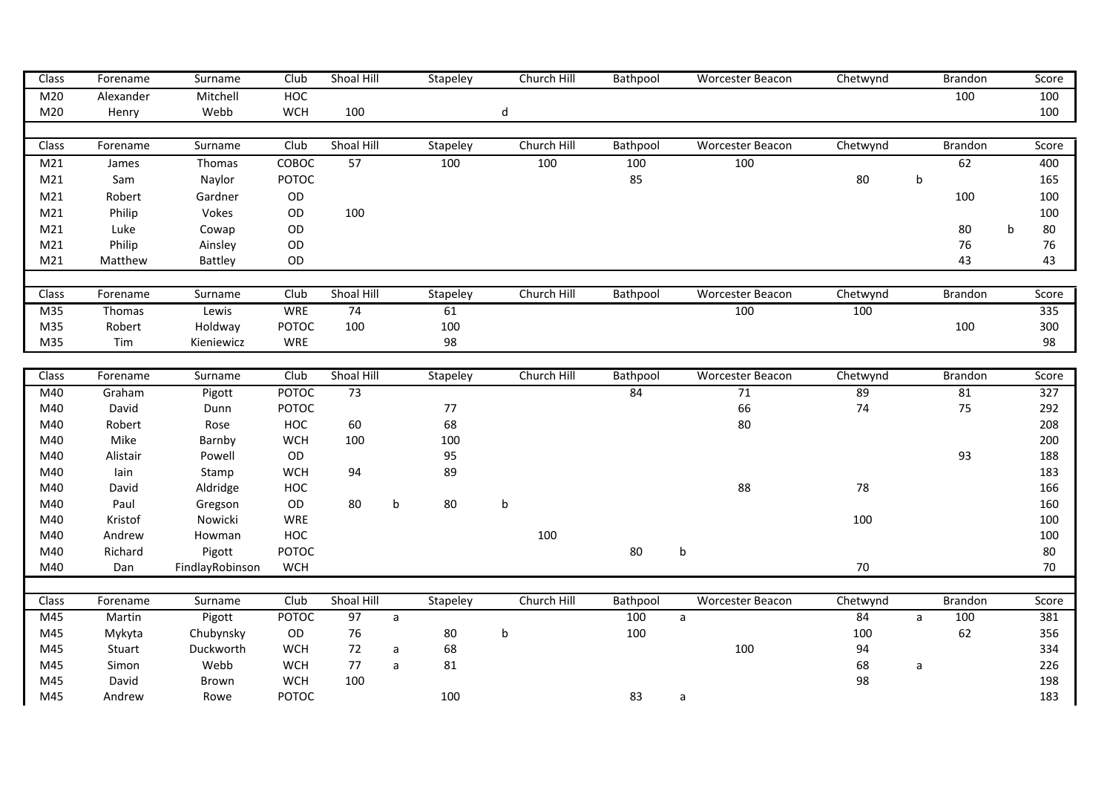| Class           | Forename  | Surname         | Club         | Shoal Hill |   | Stapeley | Church Hill | Bathpool | <b>Worcester Beacon</b> | Chetwynd |             | <b>Brandon</b> | Score   |
|-----------------|-----------|-----------------|--------------|------------|---|----------|-------------|----------|-------------------------|----------|-------------|----------------|---------|
| M20             | Alexander | Mitchell        | HOC          |            |   |          |             |          |                         |          |             | 100            | 100     |
| M20             | Henry     | Webb            | <b>WCH</b>   | 100        |   |          | d           |          |                         |          |             |                | 100     |
|                 |           |                 |              |            |   |          |             |          |                         |          |             |                |         |
| Class           | Forename  | Surname         | Club         | Shoal Hill |   | Stapeley | Church Hill | Bathpool | <b>Worcester Beacon</b> | Chetwynd |             | <b>Brandon</b> | Score   |
| M21             | James     | Thomas          | COBOC        | 57         |   | 100      | 100         | 100      | 100                     |          |             | 62             | 400     |
| M <sub>21</sub> | Sam       | Naylor          | POTOC        |            |   |          |             | 85       |                         | 80       | $\mathsf b$ |                | 165     |
| M <sub>21</sub> | Robert    | Gardner         | OD           |            |   |          |             |          |                         |          |             | 100            | 100     |
| M21             | Philip    | Vokes           | OD           | 100        |   |          |             |          |                         |          |             |                | 100     |
| M21             | Luke      | Cowap           | OD           |            |   |          |             |          |                         |          |             | 80             | 80<br>b |
| M21             | Philip    | Ainsley         | OD           |            |   |          |             |          |                         |          |             | 76             | 76      |
| M <sub>21</sub> | Matthew   | Battley         | OD           |            |   |          |             |          |                         |          |             | 43             | 43      |
|                 |           |                 |              |            |   |          |             |          |                         |          |             |                |         |
| Class           | Forename  | Surname         | Club         | Shoal Hill |   | Stapeley | Church Hill | Bathpool | <b>Worcester Beacon</b> | Chetwynd |             | <b>Brandon</b> | Score   |
| M35             | Thomas    | Lewis           | <b>WRE</b>   | 74         |   | 61       |             |          | 100                     | 100      |             |                | 335     |
| M35             | Robert    | Holdway         | POTOC        | 100        |   | 100      |             |          |                         |          |             | 100            | 300     |
| M35             | Tim       | Kieniewicz      | WRE          |            |   | 98       |             |          |                         |          |             |                | 98      |
|                 |           |                 |              |            |   |          |             |          |                         |          |             |                |         |
| Class           | Forename  | Surname         | Club         | Shoal Hill |   | Stapeley | Church Hill | Bathpool | <b>Worcester Beacon</b> | Chetwynd |             | <b>Brandon</b> | Score   |
| M40             | Graham    | Pigott          | <b>POTOC</b> | 73         |   |          |             | 84       | 71                      | 89       |             | 81             | 327     |
| M40             | David     | Dunn            | POTOC        |            |   | 77       |             |          | 66                      | 74       |             | 75             | 292     |
| M40             | Robert    | Rose            | HOC          | 60         |   | 68       |             |          | 80                      |          |             |                | 208     |
| M40             | Mike      | Barnby          | <b>WCH</b>   | 100        |   | 100      |             |          |                         |          |             |                | 200     |
| M40             | Alistair  | Powell          | OD           |            |   | 95       |             |          |                         |          |             | 93             | 188     |
| M40             | lain      | Stamp           | <b>WCH</b>   | 94         |   | 89       |             |          |                         |          |             |                | 183     |
| M40             | David     | Aldridge        | HOC          |            |   |          |             |          | 88                      | 78       |             |                | 166     |
| M40             | Paul      | Gregson         | OD           | 80         | b | 80       | b           |          |                         |          |             |                | 160     |
| M40             | Kristof   | Nowicki         | <b>WRE</b>   |            |   |          |             |          |                         | 100      |             |                | 100     |
| M40             | Andrew    | Howman          | HOC          |            |   |          | 100         |          |                         |          |             |                | 100     |
| M40             | Richard   | Pigott          | POTOC        |            |   |          |             | 80       | $\sf b$                 |          |             |                | 80      |
| M40             | Dan       | FindlayRobinson | <b>WCH</b>   |            |   |          |             |          |                         | 70       |             |                | 70      |
|                 |           |                 |              |            |   |          |             |          |                         |          |             |                |         |
| Class           | Forename  | Surname         | Club         | Shoal Hill |   | Stapeley | Church Hill | Bathpool | <b>Worcester Beacon</b> | Chetwynd |             | Brandon        | Score   |
| M45             | Martin    | Pigott          | <b>POTOC</b> | 97         | a |          |             | 100      | $\mathsf{a}$            | 84       | a           | 100            | 381     |
| M45             | Mykyta    | Chubynsky       | OD           | 76         |   | 80       | b           | 100      |                         | 100      |             | 62             | 356     |
| M45             | Stuart    | Duckworth       | <b>WCH</b>   | 72         | a | 68       |             |          | 100                     | 94       |             |                | 334     |
| M45             | Simon     | Webb            | <b>WCH</b>   | 77         | a | 81       |             |          |                         | 68       | a           |                | 226     |
| M45             | David     | Brown           | <b>WCH</b>   | 100        |   |          |             |          |                         | 98       |             |                | 198     |
|                 |           |                 |              |            |   |          |             |          |                         |          |             |                |         |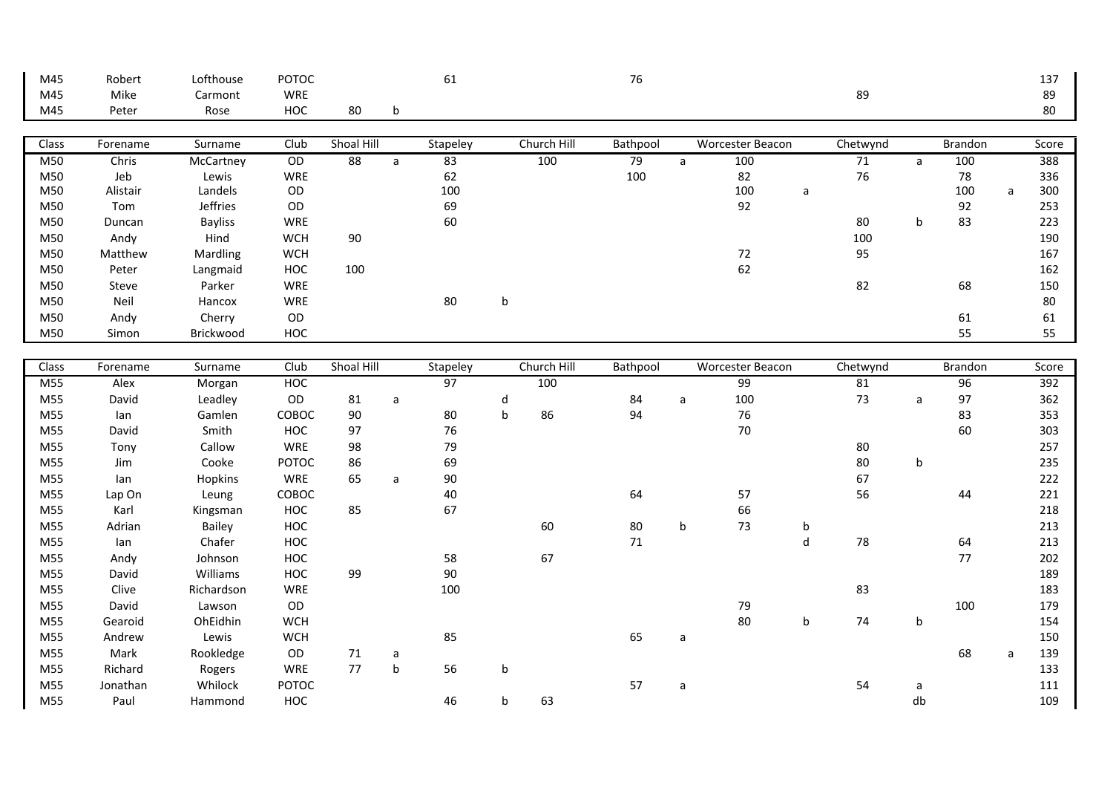| M45   | Robert   | Lofthouse      | POTOC      |                 |              | 61       |             |             | 76       |              |                         |   |          |              |                |   | 137   |
|-------|----------|----------------|------------|-----------------|--------------|----------|-------------|-------------|----------|--------------|-------------------------|---|----------|--------------|----------------|---|-------|
| M45   | Mike     | Carmont        | WRE        |                 |              |          |             |             |          |              |                         |   | 89       |              |                |   | 89    |
| M45   | Peter    | Rose           | <b>HOC</b> | 80              | b            |          |             |             |          |              |                         |   |          |              |                |   | 80    |
|       |          |                |            |                 |              |          |             |             |          |              |                         |   |          |              |                |   |       |
| Class | Forename | Surname        | Club       | Shoal Hill      |              | Stapeley |             | Church Hill | Bathpool |              | <b>Worcester Beacon</b> |   | Chetwynd |              | Brandon        |   | Score |
| M50   | Chris    | McCartney      | OD         | $\overline{88}$ | $\mathsf{a}$ | 83       |             | 100         | 79       | $\mathsf{a}$ | 100                     |   | 71       | $\mathsf{a}$ | 100            |   | 388   |
| M50   | Jeb      | Lewis          | <b>WRE</b> |                 |              | 62       |             |             | 100      |              | 82                      |   | 76       |              | 78             |   | 336   |
| M50   | Alistair | Landels        | OD         |                 |              | 100      |             |             |          |              | 100                     | a |          |              | 100            | a | 300   |
| M50   | Tom      | Jeffries       | OD         |                 |              | 69       |             |             |          |              | 92                      |   |          |              | 92             |   | 253   |
| M50   | Duncan   | <b>Bayliss</b> | WRE        |                 |              | 60       |             |             |          |              |                         |   | 80       | b            | 83             |   | 223   |
| M50   | Andy     | Hind           | <b>WCH</b> | 90              |              |          |             |             |          |              |                         |   | 100      |              |                |   | 190   |
| M50   | Matthew  | Mardling       | <b>WCH</b> |                 |              |          |             |             |          |              | $72\,$                  |   | 95       |              |                |   | 167   |
| M50   | Peter    | Langmaid       | HOC        | 100             |              |          |             |             |          |              | 62                      |   |          |              |                |   | 162   |
| M50   | Steve    | Parker         | WRE        |                 |              |          |             |             |          |              |                         |   | 82       |              | 68             |   | 150   |
| M50   | Neil     | Hancox         | WRE        |                 |              | 80       | b           |             |          |              |                         |   |          |              |                |   | 80    |
| M50   | Andy     | Cherry         | OD         |                 |              |          |             |             |          |              |                         |   |          |              | 61             |   | 61    |
| M50   | Simon    | Brickwood      | HOC        |                 |              |          |             |             |          |              |                         |   |          |              | 55             |   | 55    |
|       |          |                |            |                 |              |          |             |             |          |              |                         |   |          |              |                |   |       |
| Class | Forename | Surname        | Club       | Shoal Hill      |              | Stapeley |             | Church Hill | Bathpool |              | <b>Worcester Beacon</b> |   | Chetwynd |              | <b>Brandon</b> |   | Score |
| M55   | Alex     | Morgan         | <b>HOC</b> |                 |              | 97       |             | 100         |          |              | 99                      |   | 81       |              | 96             |   | 392   |
| M55   | David    | Leadley        | OD         | 81              | $\mathsf{a}$ |          | d           |             | 84       | a            | 100                     |   | 73       | a            | 97             |   | 362   |
| M55   | lan      | Gamlen         | COBOC      | 90              |              | 80       | $\mathsf b$ | 86          | 94       |              | 76                      |   |          |              | 83             |   | 353   |
| M55   | David    | Smith          | <b>HOC</b> | 97              |              | 76       |             |             |          |              | 70                      |   |          |              | 60             |   | 303   |
| M55   | Tony     | Callow         | WRE        | 98              |              | 79       |             |             |          |              |                         |   | 80       |              |                |   | 257   |
| M55   | Jim      | Cooke          | POTOC      | 86              |              | 69       |             |             |          |              |                         |   | 80       | b            |                |   | 235   |
| M55   | lan      | Hopkins        | WRE        | 65              | a            | 90       |             |             |          |              |                         |   | 67       |              |                |   | 222   |
| M55   | Lap On   | Leung          | COBOC      |                 |              | 40       |             |             | 64       |              | 57                      |   | 56       |              | 44             |   | 221   |
| M55   | Karl     | Kingsman       | HOC        | 85              |              | 67       |             |             |          |              | 66                      |   |          |              |                |   | 218   |
| M55   | Adrian   | Bailey         | HOC        |                 |              |          |             | 60          | $80\,$   | b            | 73                      | b |          |              |                |   | 213   |
| M55   | lan      | Chafer         | HOC        |                 |              |          |             |             | 71       |              |                         | d | 78       |              | 64             |   | 213   |
| M55   | Andy     | Johnson        | HOC        |                 |              | 58       |             | 67          |          |              |                         |   |          |              | 77             |   | 202   |
| M55   | David    | Williams       | HOC        | 99              |              | 90       |             |             |          |              |                         |   |          |              |                |   | 189   |
| M55   | Clive    | Richardson     | WRE        |                 |              | 100      |             |             |          |              |                         |   | 83       |              |                |   | 183   |
| M55   | David    | Lawson         | OD         |                 |              |          |             |             |          |              | 79                      |   |          |              | 100            |   | 179   |
| M55   | Gearoid  | OhEidhin       | <b>WCH</b> |                 |              |          |             |             |          |              | 80                      | b | 74       | b            |                |   | 154   |
| M55   | Andrew   | Lewis          | <b>WCH</b> |                 |              | 85       |             |             | 65       | a            |                         |   |          |              |                |   | 150   |
| M55   | Mark     | Rookledge      | OD         | 71              | a            |          |             |             |          |              |                         |   |          |              | 68             | a | 139   |
| M55   | Richard  | Rogers         | WRE        | 77              | $\sf b$      | 56       | b           |             |          |              |                         |   |          |              |                |   | 133   |
| M55   | Jonathan | Whilock        | POTOC      |                 |              |          |             |             | 57       | a            |                         |   | 54       | a            |                |   | 111   |
| M55   | Paul     | Hammond        | HOC        |                 |              | 46       | b           | 63          |          |              |                         |   |          | db           |                |   | 109   |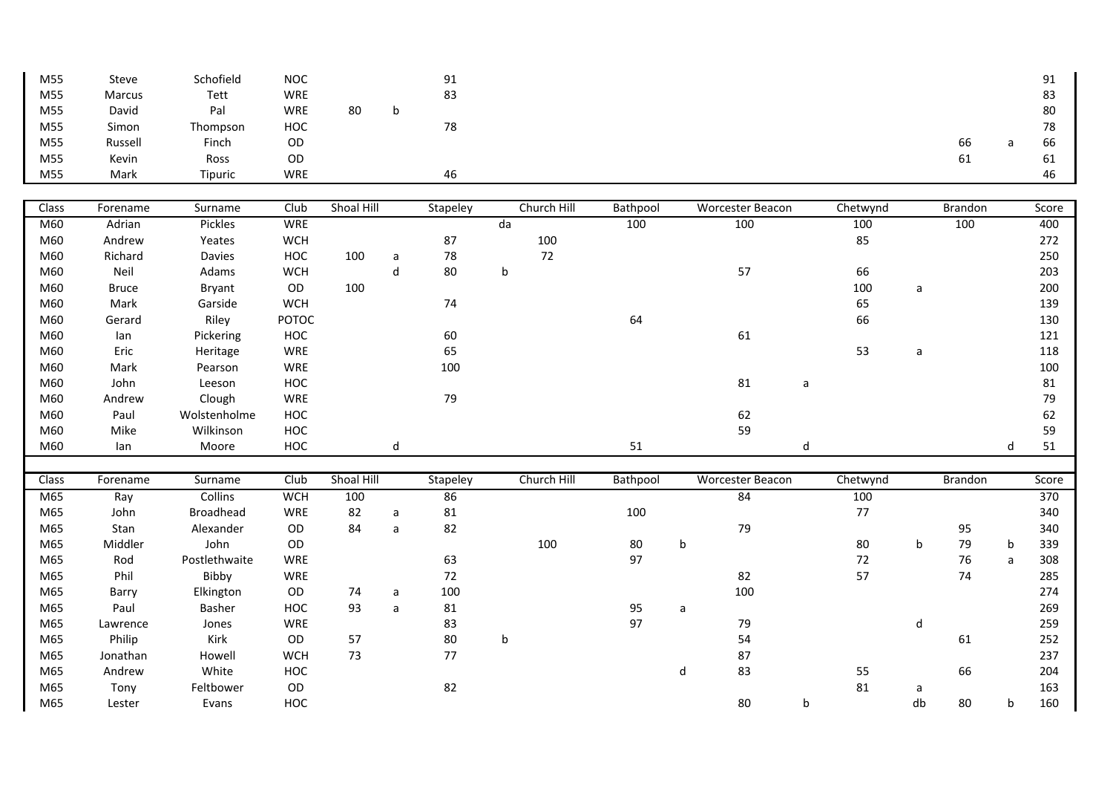| M55 | <b>Steve</b> | Schofield | <b>NOC</b> |    | 91 |    | ۵1<br>╯∸ |
|-----|--------------|-----------|------------|----|----|----|----------|
| M55 | Marcus       | Tett      | WRE        |    | 83 |    | 83       |
| M55 | David        | Pal       | WRE        | 80 |    |    | 80       |
| M55 | Simon        | Thompson  | HOC        |    | 78 |    | 78       |
| M55 | Russell      | Finch     | OD         |    |    | 66 | 66       |
| M55 | Kevin        | Ross      | OD         |    |    | 61 | 61       |
| M55 | Mark         | Tipuric   | WRE        |    | 46 |    | 46       |

| Class | Forename     | Surname          | Club         | Shoal Hill |   | Stapeley |             | Church Hill | Bathpool |   | <b>Worcester Beacon</b> |   | Chetwynd |         | Brandon        |   | Score |
|-------|--------------|------------------|--------------|------------|---|----------|-------------|-------------|----------|---|-------------------------|---|----------|---------|----------------|---|-------|
| M60   | Adrian       | Pickles          | <b>WRE</b>   |            |   |          | da          |             | 100      |   | 100                     |   | 100      |         | 100            |   | 400   |
| M60   | Andrew       | Yeates           | <b>WCH</b>   |            |   | 87       |             | 100         |          |   |                         |   | 85       |         |                |   | 272   |
| M60   | Richard      | Davies           | HOC          | 100        | a | 78       |             | 72          |          |   |                         |   |          |         |                |   | 250   |
| M60   | Neil         | Adams            | <b>WCH</b>   |            | d | 80       | b           |             |          |   | 57                      |   | 66       |         |                |   | 203   |
| M60   | <b>Bruce</b> | Bryant           | OD           | 100        |   |          |             |             |          |   |                         |   | 100      | a       |                |   | 200   |
| M60   | Mark         | Garside          | <b>WCH</b>   |            |   | 74       |             |             |          |   |                         |   | 65       |         |                |   | 139   |
| M60   | Gerard       | Riley            | <b>POTOC</b> |            |   |          |             |             | 64       |   |                         |   | 66       |         |                |   | 130   |
| M60   | lan          | Pickering        | HOC          |            |   | 60       |             |             |          |   | 61                      |   |          |         |                |   | 121   |
| M60   | Eric         | Heritage         | WRE          |            |   | 65       |             |             |          |   |                         |   | 53       | a       |                |   | 118   |
| M60   | Mark         | Pearson          | <b>WRE</b>   |            |   | 100      |             |             |          |   |                         |   |          |         |                |   | 100   |
| M60   | John         | Leeson           | HOC          |            |   |          |             |             |          |   | 81                      | a |          |         |                |   | 81    |
| M60   | Andrew       | Clough           | <b>WRE</b>   |            |   | 79       |             |             |          |   |                         |   |          |         |                |   | 79    |
| M60   | Paul         | Wolstenholme     | HOC          |            |   |          |             |             |          |   | 62                      |   |          |         |                |   | 62    |
| M60   | Mike         | Wilkinson        | HOC          |            |   |          |             |             |          |   | 59                      |   |          |         |                |   | 59    |
| M60   | lan          | Moore            | HOC          |            | d |          |             |             | 51       |   |                         | d |          |         |                | d | 51    |
|       |              |                  |              |            |   |          |             |             |          |   |                         |   |          |         |                |   |       |
|       |              |                  |              |            |   |          |             |             |          |   |                         |   |          |         |                |   |       |
| Class | Forename     | Surname          | Club         | Shoal Hill |   | Stapeley |             | Church Hill | Bathpool |   | <b>Worcester Beacon</b> |   | Chetwynd |         | <b>Brandon</b> |   | Score |
| M65   | Ray          | Collins          | <b>WCH</b>   | 100        |   | 86       |             |             |          |   | 84                      |   | 100      |         |                |   | 370   |
| M65   | John         | <b>Broadhead</b> | <b>WRE</b>   | 82         | a | 81       |             |             | 100      |   |                         |   | 77       |         |                |   | 340   |
| M65   | Stan         | Alexander        | OD           | 84         | a | 82       |             |             |          |   | 79                      |   |          |         | 95             |   | 340   |
| M65   | Middler      | John             | OD           |            |   |          |             | 100         | 80       | b |                         |   | 80       | b       | 79             | b | 339   |
| M65   | Rod          | Postlethwaite    | <b>WRE</b>   |            |   | 63       |             |             | 97       |   |                         |   | 72       |         | 76             | a | 308   |
| M65   | Phil         | Bibby            | <b>WRE</b>   |            |   | 72       |             |             |          |   | 82                      |   | 57       |         | 74             |   | 285   |
| M65   | Barry        | Elkington        | OD           | 74         | a | 100      |             |             |          |   | 100                     |   |          |         |                |   | 274   |
| M65   | Paul         | Basher           | HOC          | 93         | a | 81       |             |             | 95       | a |                         |   |          |         |                |   | 269   |
| M65   | Lawrence     | Jones            | <b>WRE</b>   |            |   | 83       |             |             | 97       |   | 79                      |   |          | d       |                |   | 259   |
| M65   | Philip       | Kirk             | OD           | 57         |   | 80       | $\mathbf b$ |             |          |   | 54                      |   |          |         | 61             |   | 252   |
| M65   | Jonathan     | Howell           | <b>WCH</b>   | 73         |   | 77       |             |             |          |   | 87                      |   |          |         |                |   | 237   |
| M65   | Andrew       | White            | HOC          |            |   |          |             |             |          | d | 83                      |   | 55       |         | 66             |   | 204   |
| M65   | Tony         | Feltbower        | OD           |            |   | 82       |             |             |          |   | 80                      |   | 81       | a<br>db |                |   | 163   |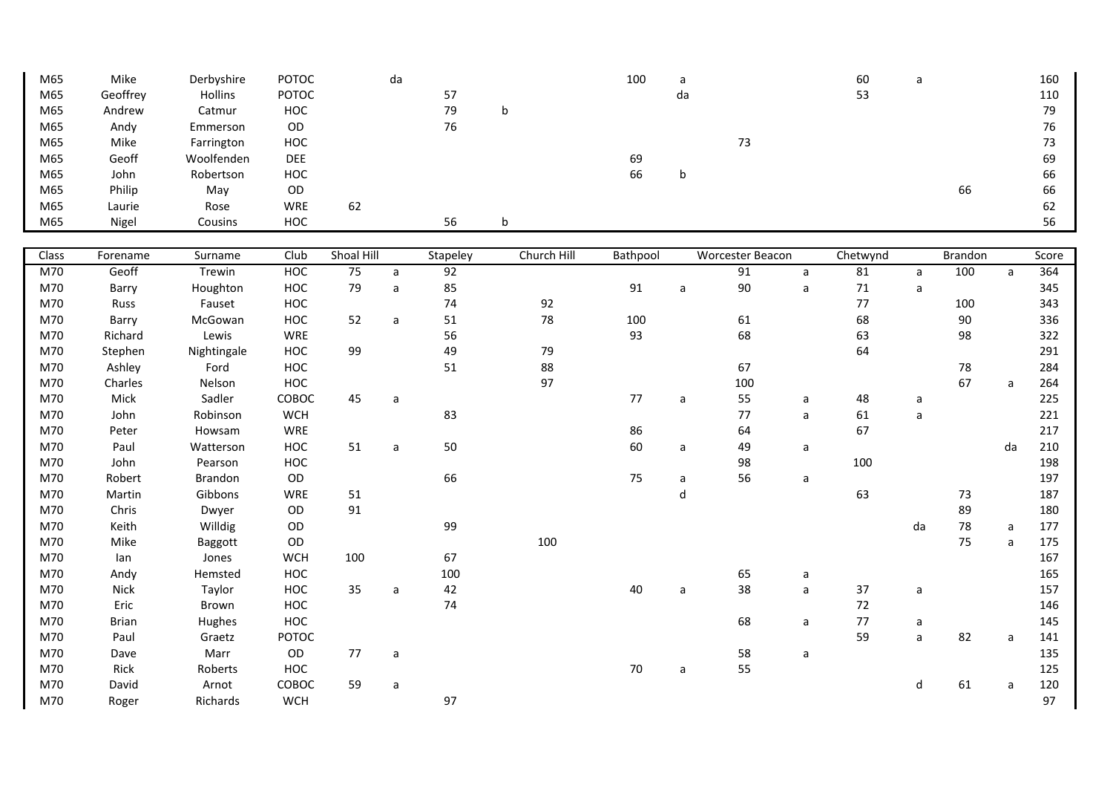| M65          | Mike         | Derbyshire  | POTOC         |            | da           |          |             | 100      | a  |                  |             | 60       | a            |         |              | 160   |
|--------------|--------------|-------------|---------------|------------|--------------|----------|-------------|----------|----|------------------|-------------|----------|--------------|---------|--------------|-------|
| M65          | Geoffrey     | Hollins     | POTOC         |            |              | 57       |             |          | da |                  |             | 53       |              |         |              | 110   |
| M65          | Andrew       | Catmur      | HOC           |            |              | 79       | b           |          |    |                  |             |          |              |         |              | 79    |
| M65          | Andy         | Emmerson    | OD            |            |              | 76       |             |          |    |                  |             |          |              |         |              | 76    |
| M65          | Mike         | Farrington  | HOC           |            |              |          |             |          |    | $73\,$           |             |          |              |         |              | 73    |
| M65          | Geoff        | Woolfenden  | <b>DEE</b>    |            |              |          |             | 69       |    |                  |             |          |              |         |              | 69    |
| M65          | John         | Robertson   | HOC           |            |              |          |             | 66       | b  |                  |             |          |              |         |              | 66    |
| M65          | Philip       | May         | $\mathsf{OD}$ |            |              |          |             |          |    |                  |             |          |              | 66      |              | 66    |
| M65          | Laurie       | Rose        | WRE           | 62         |              |          |             |          |    |                  |             |          |              |         |              | 62    |
| M65          | Nigel        | Cousins     | HOC           |            |              | 56       | b           |          |    |                  |             |          |              |         |              | 56    |
|              |              |             |               |            |              |          |             |          |    |                  |             |          |              |         |              |       |
| <b>Class</b> | Forename     | Surname     | Club          | Shoal Hill |              | Stapeley | Church Hill | Bathpool |    | Worcester Beacon |             | Chetwynd |              | Brandon |              | Score |
| M70          | Geoff        | Trewin      | HOC           | 75         | a            | 92       |             |          |    | 91               | a           | 81       | a            | 100     | a            | 364   |
| M70          | Barry        | Houghton    | HOC           | 79         | $\mathsf{a}$ | 85       |             | 91       | a  | 90               | a           | $71\,$   | $\mathsf{a}$ |         |              | 345   |
| M70          | Russ         | Fauset      | HOC           |            |              | 74       | 92          |          |    |                  |             | 77       |              | 100     |              | 343   |
| M70          | Barry        | McGowan     | HOC           | 52         | $\mathsf{a}$ | 51       | 78          | 100      |    | 61               |             | 68       |              | 90      |              | 336   |
| M70          | Richard      | Lewis       | <b>WRE</b>    |            |              | 56       |             | 93       |    | 68               |             | 63       |              | 98      |              | 322   |
| M70          | Stephen      | Nightingale | HOC           | 99         |              | 49       | 79          |          |    |                  |             | 64       |              |         |              | 291   |
| M70          | Ashley       | Ford        | HOC           |            |              | 51       | 88          |          |    | 67               |             |          |              | 78      |              | 284   |
| M70          | Charles      | Nelson      | HOC           |            |              |          | 97          |          |    | 100              |             |          |              | 67      | $\mathsf{a}$ | 264   |
| M70          | Mick         | Sadler      | COBOC         | 45         | a            |          |             | 77       | a  | 55               | a           | 48       | a            |         |              | 225   |
| M70          | John         | Robinson    | <b>WCH</b>    |            |              | 83       |             |          |    | 77               | a           | 61       | $\mathsf{a}$ |         |              | 221   |
| M70          | Peter        | Howsam      | <b>WRE</b>    |            |              |          |             | 86       |    | 64               |             | 67       |              |         |              | 217   |
| M70          | Paul         | Watterson   | HOC           | 51         | $\mathsf{a}$ | 50       |             | 60       | a  | 49               | a           |          |              |         | da           | 210   |
| M70          | John         | Pearson     | HOC           |            |              |          |             |          |    | 98               |             | 100      |              |         |              | 198   |
| M70          | Robert       | Brandon     | OD            |            |              | 66       |             | 75       | a  | 56               | a           |          |              |         |              | 197   |
| M70          | Martin       | Gibbons     | <b>WRE</b>    | 51         |              |          |             |          | d  |                  |             | 63       |              | 73      |              | 187   |
| M70          | Chris        | Dwyer       | OD            | 91         |              |          |             |          |    |                  |             |          |              | 89      |              | 180   |
| M70          | Keith        | Willdig     | OD            |            |              | 99       |             |          |    |                  |             |          | da           | 78      | a            | 177   |
| M70          | Mike         | Baggott     | OD            |            |              |          | 100         |          |    |                  |             |          |              | 75      | a            | 175   |
| M70          | lan          | Jones       | <b>WCH</b>    | 100        |              | 67       |             |          |    |                  |             |          |              |         |              | 167   |
| M70          | Andy         | Hemsted     | HOC           |            |              | 100      |             |          |    | 65               | $\mathsf a$ |          |              |         |              | 165   |
| M70          | Nick         | Taylor      | HOC           | 35         | a            | 42       |             | 40       | a  | 38               | a           | 37       | a            |         |              | 157   |
| M70          | Eric         | Brown       | HOC           |            |              | 74       |             |          |    |                  |             | $72\,$   |              |         |              | 146   |
| M70          | <b>Brian</b> | Hughes      | HOC           |            |              |          |             |          |    | 68               | a           | 77       | a            |         |              | 145   |
| M70          | Paul         | Graetz      | POTOC         |            |              |          |             |          |    |                  |             | 59       | $\mathsf a$  | 82      | $\mathsf{a}$ | 141   |
| M70          |              |             |               |            |              |          |             |          |    |                  |             |          |              |         |              |       |
|              | Dave         | Marr        | OD            | 77         | $\mathsf{a}$ |          |             |          |    | 58               | a           |          |              |         |              | 135   |
| M70          | Rick         | Roberts     | HOC           |            |              |          |             | 70       | a  | 55               |             |          |              |         |              | 125   |
| M70          | David        | Arnot       | COBOC         | 59         | a            |          |             |          |    |                  |             |          | d            | 61      | a            | 120   |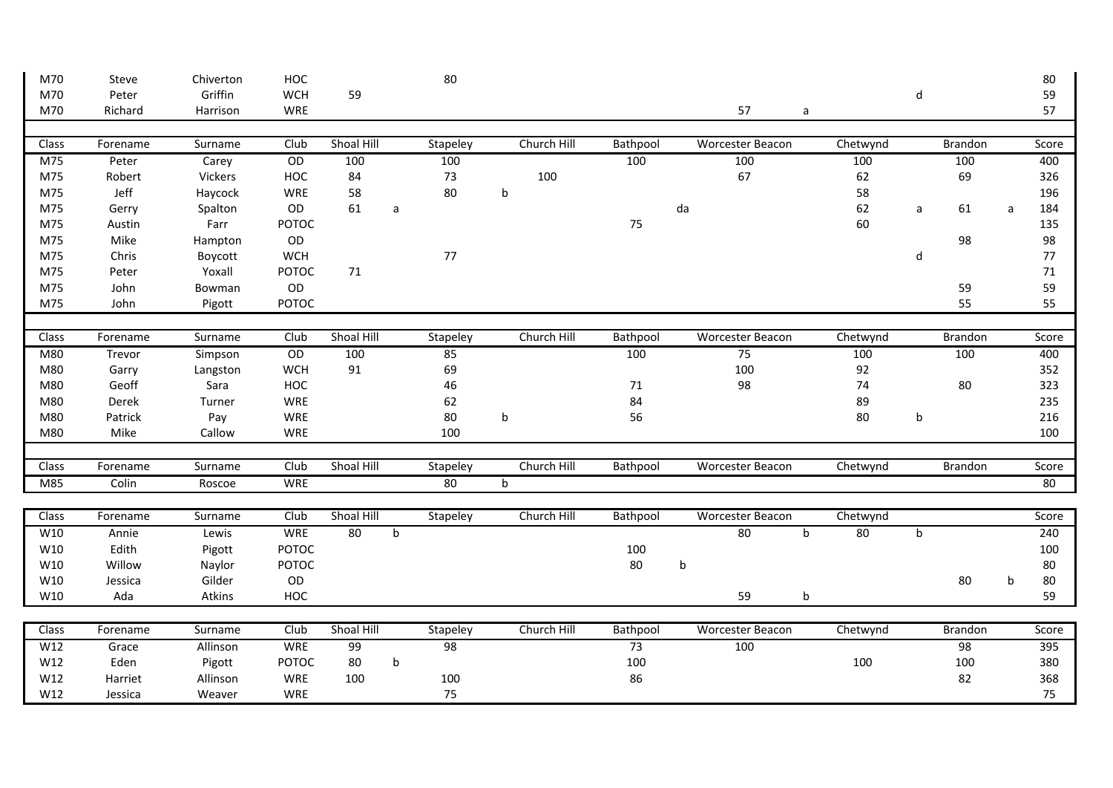| M70   | Steve    | Chiverton | HOC             |            |              | 80       |             |          |    |                         |   |          |             |                 |   | 80    |
|-------|----------|-----------|-----------------|------------|--------------|----------|-------------|----------|----|-------------------------|---|----------|-------------|-----------------|---|-------|
| M70   | Peter    | Griffin   | <b>WCH</b>      | 59         |              |          |             |          |    |                         |   |          | d           |                 |   | 59    |
| M70   | Richard  | Harrison  | <b>WRE</b>      |            |              |          |             |          |    | 57                      | a |          |             |                 |   | 57    |
|       |          |           |                 |            |              |          |             |          |    |                         |   |          |             |                 |   |       |
| Class | Forename | Surname   | Club            | Shoal Hill |              | Stapeley | Church Hill | Bathpool |    | <b>Worcester Beacon</b> |   | Chetwynd |             | <b>Brandon</b>  |   | Score |
| M75   | Peter    | Carey     | $\overline{OD}$ | 100        |              | 100      |             | 100      |    | 100                     |   | 100      |             | 100             |   | 400   |
| M75   | Robert   | Vickers   | HOC             | 84         |              | 73       | 100         |          |    | 67                      |   | 62       |             | 69              |   | 326   |
| M75   | Jeff     | Haycock   | WRE             | 58         |              | 80       | b           |          |    |                         |   | 58       |             |                 |   | 196   |
| M75   | Gerry    | Spalton   | OD              | 61         | $\mathsf{a}$ |          |             |          | da |                         |   | 62       | a           | 61              | a | 184   |
| M75   | Austin   | Farr      | <b>POTOC</b>    |            |              |          |             | 75       |    |                         |   | 60       |             |                 |   | 135   |
| M75   | Mike     | Hampton   | OD              |            |              |          |             |          |    |                         |   |          |             | 98              |   | 98    |
| M75   | Chris    | Boycott   | <b>WCH</b>      |            |              | 77       |             |          |    |                         |   |          | ${\sf d}$   |                 |   | 77    |
| M75   | Peter    | Yoxall    | POTOC           | 71         |              |          |             |          |    |                         |   |          |             |                 |   | 71    |
| M75   | John     | Bowman    | OD              |            |              |          |             |          |    |                         |   |          |             | 59              |   | 59    |
| M75   | John     | Pigott    | <b>POTOC</b>    |            |              |          |             |          |    |                         |   |          |             | 55              |   | 55    |
|       |          |           |                 |            |              |          |             |          |    |                         |   |          |             |                 |   |       |
| Class | Forename | Surname   | Club            | Shoal Hill |              | Stapeley | Church Hill | Bathpool |    | <b>Worcester Beacon</b> |   | Chetwynd |             | <b>Brandon</b>  |   | Score |
| M80   | Trevor   | Simpson   | OD              | 100        |              | 85       |             | 100      |    | 75                      |   | 100      |             | 100             |   | 400   |
| M80   | Garry    | Langston  | <b>WCH</b>      | 91         |              | 69       |             |          |    | 100                     |   | 92       |             |                 |   | 352   |
| M80   | Geoff    | Sara      | HOC             |            |              | 46       |             | 71       |    | 98                      |   | 74       |             | 80              |   | 323   |
| M80   | Derek    | Turner    | <b>WRE</b>      |            |              | 62       |             | 84       |    |                         |   | 89       |             |                 |   | 235   |
| M80   | Patrick  | Pay       | WRE             |            |              | 80       | b           | 56       |    |                         |   | 80       | b           |                 |   | 216   |
| M80   | Mike     | Callow    | WRE             |            |              | 100      |             |          |    |                         |   |          |             |                 |   | 100   |
|       |          |           |                 |            |              |          |             |          |    |                         |   |          |             |                 |   |       |
| Class | Forename | Surname   | Club            | Shoal Hill |              | Stapeley | Church Hill | Bathpool |    | <b>Worcester Beacon</b> |   | Chetwynd |             | <b>Brandon</b>  |   | Score |
| M85   | Colin    | Roscoe    | <b>WRE</b>      |            |              | 80       | b           |          |    |                         |   |          |             |                 |   | 80    |
|       |          |           |                 |            |              |          |             |          |    |                         |   |          |             |                 |   |       |
| Class | Forename | Surname   | Club            | Shoal Hill |              | Stapeley | Church Hill | Bathpool |    | <b>Worcester Beacon</b> |   | Chetwynd |             |                 |   | Score |
| W10   | Annie    | Lewis     | <b>WRE</b>      | 80         | $\mathsf{b}$ |          |             |          |    | 80                      | b | 80       | $\mathbf b$ |                 |   | 240   |
| W10   | Edith    | Pigott    | POTOC           |            |              |          |             | 100      |    |                         |   |          |             |                 |   | 100   |
| W10   | Willow   | Naylor    | <b>POTOC</b>    |            |              |          |             | 80       | b  |                         |   |          |             |                 |   | 80    |
| W10   | Jessica  | Gilder    | $\mathsf{OD}$   |            |              |          |             |          |    |                         |   |          |             | 80              | b | 80    |
| W10   | Ada      | Atkins    | HOC             |            |              |          |             |          |    | 59                      | b |          |             |                 |   | 59    |
|       |          |           |                 |            |              |          |             |          |    |                         |   |          |             |                 |   |       |
| Class | Forename | Surname   | Club            | Shoal Hill |              | Stapeley | Church Hill | Bathpool |    | <b>Worcester Beacon</b> |   | Chetwynd |             | <b>Brandon</b>  |   | Score |
| W12   | Grace    | Allinson  | <b>WRE</b>      | 99         |              | 98       |             | 73       |    | 100                     |   |          |             | $\overline{98}$ |   | 395   |
| W12   | Eden     | Pigott    | <b>POTOC</b>    | 80         | $\mathsf b$  |          |             | 100      |    |                         |   | 100      |             | 100             |   | 380   |
| W12   | Harriet  | Allinson  | WRE             | 100        |              | 100      |             | 86       |    |                         |   |          |             | 82              |   | 368   |
| W12   | Jessica  | Weaver    | <b>WRE</b>      |            |              | 75       |             |          |    |                         |   |          |             |                 |   | 75    |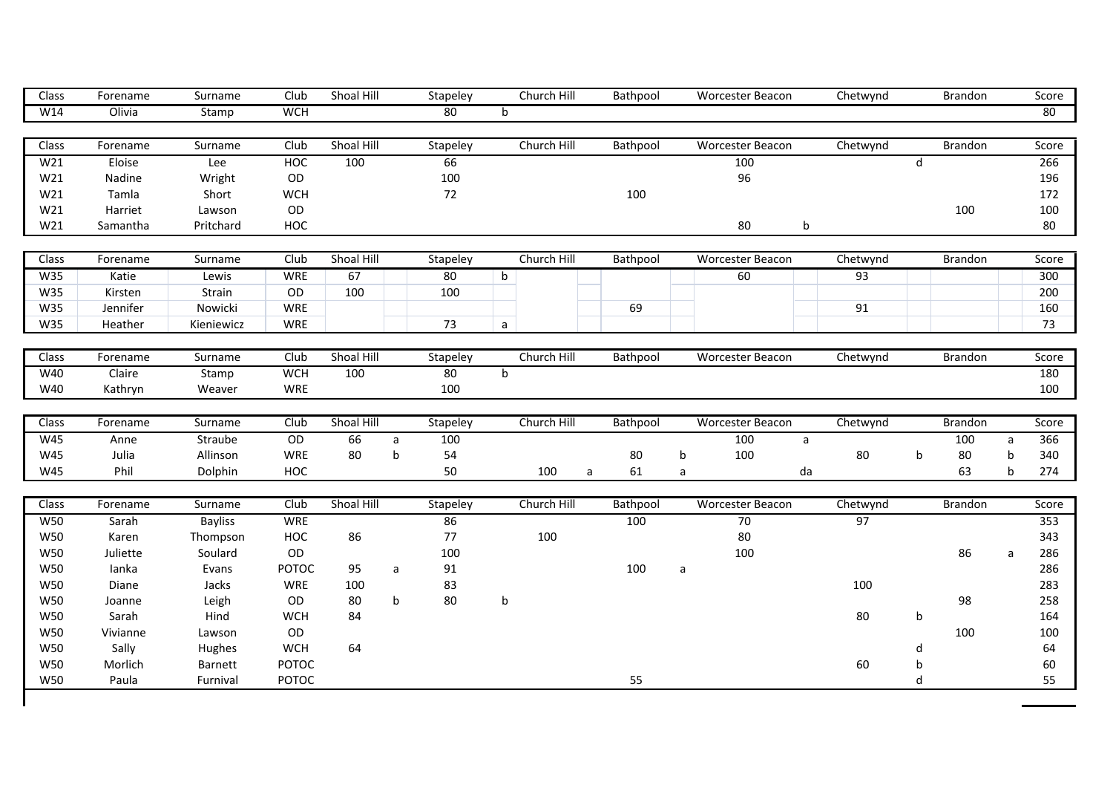| Class               | Forename         | Surname             | Club                  | Shoal Hill |              | Stapeley | Church Hill  | Bathpool |              | <b>Worcester Beacon</b> |              | Chetwynd       |              | <b>Brandon</b> |              | Score            |
|---------------------|------------------|---------------------|-----------------------|------------|--------------|----------|--------------|----------|--------------|-------------------------|--------------|----------------|--------------|----------------|--------------|------------------|
| W14                 | Olivia           | Stamp               | <b>WCH</b>            |            |              | 80       | $\mathsf{b}$ |          |              |                         |              |                |              |                |              | 80               |
|                     |                  |                     |                       |            |              |          |              |          |              |                         |              |                |              |                |              |                  |
| Class               | Forename         | Surname             | Club                  | Shoal Hill |              | Stapeley | Church Hill  | Bathpool |              | <b>Worcester Beacon</b> |              | Chetwynd       |              | Brandon        |              | Score            |
| W <sub>21</sub>     | Eloise           | Lee                 | <b>HOC</b>            | 100        |              | 66       |              |          |              | 100                     |              |                | $\mathsf{d}$ |                |              | 266              |
| W21                 | Nadine           | Wright              | OD                    |            |              | 100      |              |          |              | 96                      |              |                |              |                |              | 196              |
| W21                 | Tamla            | Short               | <b>WCH</b>            |            |              | 72       |              | 100      |              |                         |              |                |              |                |              | 172              |
| W21                 | Harriet          | Lawson              | OD                    |            |              |          |              |          |              |                         |              |                |              | 100            |              | 100              |
| W21                 | Samantha         | Pritchard           | HOC                   |            |              |          |              |          |              | 80                      | b            |                |              |                |              | 80               |
|                     |                  |                     |                       |            |              |          |              |          |              |                         |              |                |              |                |              |                  |
| $\overline{Class}$  | Forename         | Surname             | Club                  | Shoal Hill |              | Stapeley | Church Hill  | Bathpool |              | <b>Worcester Beacon</b> |              | Chetwynd       |              | <b>Brandon</b> |              | Score            |
| W35                 | Katie            | Lewis               | WRE                   | 67         |              | 80       | $\mathsf b$  |          |              | 60                      |              | 93             |              |                |              | 300              |
| W35                 | Kirsten          | Strain              | $\mathsf{OD}$         | 100        |              | 100      |              |          |              |                         |              |                |              |                |              | 200              |
| W35                 | Jennifer         | Nowicki             | WRE                   |            |              |          |              | 69       |              |                         |              | 91             |              |                |              | 160              |
| W35                 | Heather          | Kieniewicz          | <b>WRE</b>            |            |              | 73       | a            |          |              |                         |              |                |              |                |              | 73               |
| Class               | Forename         | Surname             | Club                  | Shoal Hill |              | Stapeley | Church Hill  | Bathpool |              | <b>Worcester Beacon</b> |              | Chetwynd       |              | <b>Brandon</b> |              | Score            |
| W40                 | Claire           | Stamp               | <b>WCH</b>            | 100        |              | 80       | $\mathsf b$  |          |              |                         |              |                |              |                |              | 180              |
| W40                 | Kathryn          | Weaver              | <b>WRE</b>            |            |              | 100      |              |          |              |                         |              |                |              |                |              | 100              |
|                     |                  |                     |                       |            |              |          |              |          |              |                         |              |                |              |                |              |                  |
| Class               | Forename         | Surname             | Club                  | Shoal Hill |              | Stapeley | Church Hill  | Bathpool |              | Worcester Beacon        |              | Chetwynd       |              | Brandon        |              | Score            |
| W45                 | Anne             | Straube             | $\overline{OD}$       | 66         | $\mathsf{a}$ | 100      |              |          |              | 100                     | $\mathsf{a}$ |                |              | 100            | $\mathsf{a}$ | 366              |
| W45                 | Julia            | Allinson            | WRE                   | 80         | b            | 54       |              | 80       | b            | 100                     |              | 80             | b            | 80             | $\sf b$      | 340              |
| W45                 | Phil             | Dolphin             | HOC                   |            |              | 50       | 100<br>a     | 61       | a            |                         | da           |                |              | 63             | $\mathsf{b}$ | 274              |
|                     |                  |                     |                       |            |              |          |              |          |              |                         |              |                |              |                |              |                  |
| Class<br><b>W50</b> | Forename         | Surname             | Club                  | Shoal Hill |              | Stapeley | Church Hill  | Bathpool |              | <b>Worcester Beacon</b> |              | Chetwynd<br>97 |              | <b>Brandon</b> |              | Score            |
|                     | Sarah<br>Karen   | <b>Bayliss</b>      | <b>WRE</b>            |            |              | 86       |              | 100      |              | 70                      |              |                |              |                |              | 353              |
|                     |                  | Thompson            | HOC                   | 86         |              | 77       | 100          |          |              | 80<br>100               |              |                |              |                |              | 343              |
| <b>W50</b>          |                  |                     |                       |            |              |          |              |          |              |                         |              |                |              | 86             | a            | 286<br>286       |
| <b>W50</b>          | Juliette         | Soulard             | OD                    |            |              | 100      |              |          |              |                         |              |                |              |                |              |                  |
| W50                 | lanka            | Evans               | POTOC                 | 95         | a            | 91       |              | 100      | $\mathsf{a}$ |                         |              |                |              |                |              |                  |
| <b>W50</b>          | Diane            | Jacks               | <b>WRE</b>            | 100        |              | 83       |              |          |              |                         |              | 100            |              |                |              |                  |
| <b>W50</b>          | Joanne           | Leigh               | OD                    | 80         | b            | 80       | $\sf b$      |          |              |                         |              |                |              | 98             |              | 283<br>258       |
| <b>W50</b>          | Sarah            | Hind                | <b>WCH</b>            | 84         |              |          |              |          |              |                         |              | 80             | b            |                |              |                  |
| <b>W50</b>          | Vivianne         | Lawson              | OD                    |            |              |          |              |          |              |                         |              |                |              | 100            |              |                  |
| <b>W50</b>          | Sally            | Hughes              | <b>WCH</b>            | 64         |              |          |              |          |              |                         |              |                | d            |                |              | 164<br>100<br>64 |
| W50<br>W50          | Morlich<br>Paula | Barnett<br>Furnival | <b>POTOC</b><br>POTOC |            |              |          |              | 55       |              |                         |              | 60             | b<br>d       |                |              | 60<br>55         |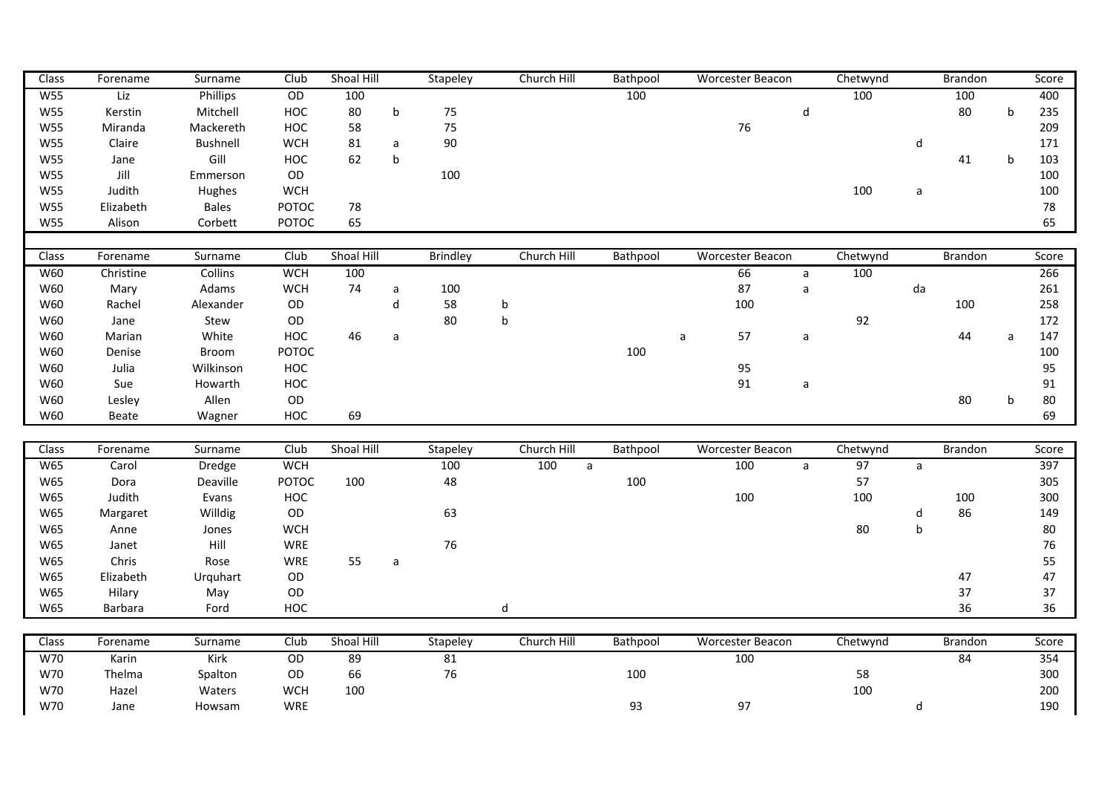| Class      | Forename       | Surname        | Club            | Shoal Hill |                             | Stapeley        | Church Hill         | Bathpool |              | Worcester Beacon |                             | Chetwynd |              | Brandon        |             | Score  |
|------------|----------------|----------------|-----------------|------------|-----------------------------|-----------------|---------------------|----------|--------------|------------------|-----------------------------|----------|--------------|----------------|-------------|--------|
| <b>W55</b> | Liz            | Phillips       | $\overline{OD}$ | 100        |                             |                 |                     | 100      |              |                  |                             | 100      |              | 100            |             | 400    |
| <b>W55</b> | Kerstin        | Mitchell       | HOC             | 80         | $\mathbf b$                 | 75              |                     |          |              |                  | $\operatorname{\mathsf{d}}$ |          |              | 80             | $\mathsf b$ | 235    |
| <b>W55</b> | Miranda        | Mackereth      | HOC             | 58         |                             | 75              |                     |          |              | 76               |                             |          |              |                |             | 209    |
| <b>W55</b> | Claire         | Bushnell       | <b>WCH</b>      | 81         | $\mathsf a$                 | 90              |                     |          |              |                  |                             |          | d            |                |             | 171    |
| <b>W55</b> | Jane           | Gill           | HOC             | 62         | $\sf b$                     |                 |                     |          |              |                  |                             |          |              | 41             | b           | 103    |
| <b>W55</b> | Jill           | Emmerson       | OD              |            |                             | 100             |                     |          |              |                  |                             |          |              |                |             | 100    |
| <b>W55</b> | Judith         | Hughes         | <b>WCH</b>      |            |                             |                 |                     |          |              |                  |                             | 100      | $\mathsf{a}$ |                |             | 100    |
| <b>W55</b> | Elizabeth      | <b>Bales</b>   | POTOC           | 78         |                             |                 |                     |          |              |                  |                             |          |              |                |             | 78     |
| <b>W55</b> | Alison         | Corbett        | POTOC           | 65         |                             |                 |                     |          |              |                  |                             |          |              |                |             | 65     |
|            |                |                |                 |            |                             |                 |                     |          |              |                  |                             |          |              |                |             |        |
| Class      | Forename       | Surname        | Club            | Shoal Hill |                             | <b>Brindley</b> | Church Hill         | Bathpool |              | Worcester Beacon |                             | Chetwynd |              | Brandon        |             | Score  |
| <b>W60</b> | Christine      | <b>Collins</b> | <b>WCH</b>      | 100        |                             |                 |                     |          |              | 66               | $\mathsf{a}$                | 100      |              |                |             | 266    |
| W60        | Mary           | Adams          | <b>WCH</b>      | 74         | $\mathsf a$                 | 100             |                     |          |              | 87               | $\mathsf{a}$                |          | da           |                |             | 261    |
| W60        | Rachel         | Alexander      | OD              |            | $\operatorname{\mathsf{d}}$ | 58              | $\mathsf b$         |          |              | 100              |                             |          |              | 100            |             | 258    |
| W60        | Jane           | Stew           | OD              |            |                             | 80              | $\sf b$             |          |              |                  |                             | 92       |              |                |             | 172    |
| W60        | Marian         | White          | HOC             | 46         | a                           |                 |                     |          | $\mathsf{a}$ | 57               | a                           |          |              | 44             | a           | 147    |
| W60        | Denise         | Broom          | POTOC           |            |                             |                 |                     | 100      |              |                  |                             |          |              |                |             | 100    |
| W60        | Julia          | Wilkinson      | HOC             |            |                             |                 |                     |          |              | 95               |                             |          |              |                |             | 95     |
| W60        | Sue            | Howarth        | HOC             |            |                             |                 |                     |          |              | 91               | a                           |          |              |                |             | 91     |
| W60        | Lesley         | Allen          | $\mathsf{OD}$   |            |                             |                 |                     |          |              |                  |                             |          |              | 80             | b           | $80\,$ |
| W60        | Beate          | Wagner         | HOC             | 69         |                             |                 |                     |          |              |                  |                             |          |              |                |             | 69     |
|            |                |                |                 |            |                             |                 |                     |          |              |                  |                             |          |              |                |             |        |
| Class      | Forename       | Surname        | Club            | Shoal Hill |                             | Stapeley        | Church Hill         | Bathpool |              | Worcester Beacon |                             | Chetwynd |              | <b>Brandon</b> |             | Score  |
| <b>W65</b> | Carol          | Dredge         | <b>WCH</b>      |            |                             | 100             | 100<br>$\mathsf{a}$ |          |              | 100              | $\mathsf{a}$                | 97       | $\mathsf{a}$ |                |             | 397    |
| W65        | Dora           | Deaville       | POTOC           | 100        |                             | 48              |                     | 100      |              |                  |                             | 57       |              |                |             | 305    |
| W65        | Judith         | Evans          | HOC             |            |                             |                 |                     |          |              | 100              |                             | 100      |              | 100            |             | 300    |
| W65        | Margaret       | Willdig        | OD              |            |                             | 63              |                     |          |              |                  |                             |          | d            | 86             |             | 149    |
| W65        | Anne           | Jones          | <b>WCH</b>      |            |                             |                 |                     |          |              |                  |                             | 80       | $\mathsf b$  |                |             | $80\,$ |
| W65        | Janet          | Hill           | WRE             |            |                             | 76              |                     |          |              |                  |                             |          |              |                |             | 76     |
| W65        | Chris          | Rose           | WRE             | 55         | a                           |                 |                     |          |              |                  |                             |          |              |                |             | 55     |
| W65        | Elizabeth      | Urquhart       | OD              |            |                             |                 |                     |          |              |                  |                             |          |              | 47             |             | 47     |
| W65        | Hilary         | May            | OD              |            |                             |                 |                     |          |              |                  |                             |          |              | 37             |             | 37     |
| W65        | <b>Barbara</b> | Ford           | HOC             |            |                             |                 | $\sf d$             |          |              |                  |                             |          |              | 36             |             | 36     |
|            |                |                |                 |            |                             |                 |                     |          |              |                  |                             |          |              |                |             |        |
| Class      | Forename       | Surname        | Club            | Shoal Hill |                             | Stapeley        | Church Hill         | Bathpool |              | Worcester Beacon |                             | Chetwynd |              | <b>Brandon</b> |             | Score  |
| W70        | Karin          | Kirk           | OD              | 89         |                             | 81              |                     |          |              | 100              |                             |          |              | 84             |             | 354    |
| W70        | Thelma         | Spalton        | OD              | 66         |                             | 76              |                     | 100      |              |                  |                             | 58       |              |                |             | 300    |
| W70        | Hazel          | Waters         | <b>WCH</b>      | 100        |                             |                 |                     |          |              |                  |                             | 100      |              |                |             | 200    |

W70 Jane Howsam WRE 93 97 d 190